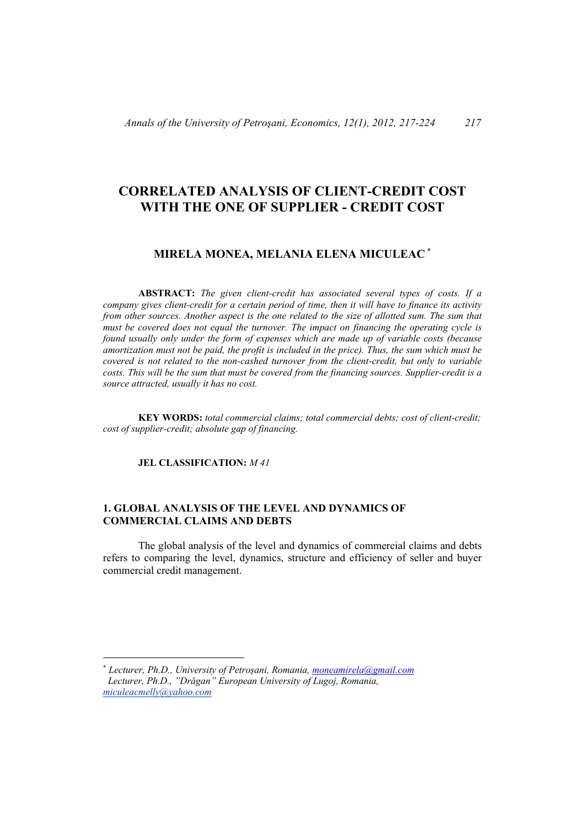# **CORRELATED ANALYSIS OF CLIENT-CREDIT COST WITH THE ONE OF SUPPLIER - CREDIT COST**

# **MIRELA MONEA, MELANIA ELENA MICULEAC**

**ABSTRACT:** *The given client-credit has associated several types of costs. If a company gives client-credit for a certain period of time, then it will have to finance its activity from other sources. Another aspect is the one related to the size of allotted sum. The sum that must be covered does not equal the turnover. The impact on financing the operating cycle is found usually only under the form of expenses which are made up of variable costs (because amortization must not be paid, the profit is included in the price). Thus, the sum which must be covered is not related to the non-cashed turnover from the client-credit, but only to variable costs. This will be the sum that must be covered from the financing sources. Supplier-credit is a source attracted, usually it has no cost.* 

**KEY WORDS:** *total commercial claims; total commercial debts; cost of client-credit; cost of supplier-credit; absolute gap of financing.* 

**JEL CLASSIFICATION:** *M 41* 

 $\overline{a}$ 

## **1. GLOBAL ANALYSIS OF THE LEVEL AND DYNAMICS OF COMMERCIAL CLAIMS AND DEBTS**

The global analysis of the level and dynamics of commercial claims and debts refers to comparing the level, dynamics, structure and efficiency of seller and buyer commercial credit management.

*Lecturer, Ph.D., University of Petroșani, Romania, moneamirela@gmail.com Lecturer, Ph.D., "Drăgan" European University of Lugoj, Romania, miculeacmelly@yahoo.com*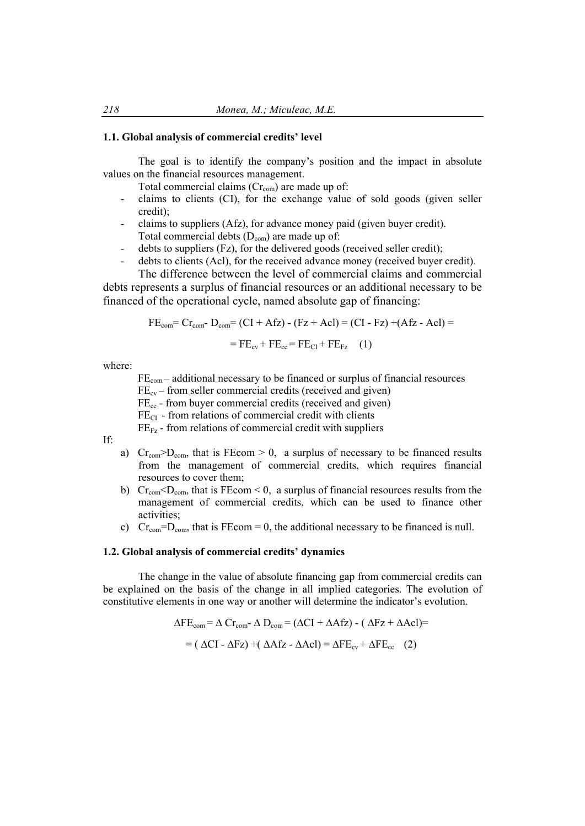#### **1.1. Global analysis of commercial credits' level**

The goal is to identify the company's position and the impact in absolute values on the financial resources management.

Total commercial claims  $(Cr_{com})$  are made up of:

- claims to clients (CI), for the exchange value of sold goods (given seller credit);
- claims to suppliers (Afz), for advance money paid (given buyer credit). Total commercial debts  $(D_{com})$  are made up of:
- debts to suppliers (Fz), for the delivered goods (received seller credit);
- debts to clients (Acl), for the received advance money (received buyer credit).

The difference between the level of commercial claims and commercial debts represents a surplus of financial resources or an additional necessary to be financed of the operational cycle, named absolute gap of financing:

$$
FEcom=Crcom-Dcom=(CI + Afz) - (Fz + AcI) = (CI - Fz) + (Afz - AcI) =
$$

$$
= FEcv + FEcc = FECI + FEFz (1)
$$

where:

 $FE<sub>com</sub>$  – additional necessary to be financed or surplus of financial resources  $FE_{cv}$  – from seller commercial credits (received and given)  $FE<sub>cc</sub>$  - from buyer commercial credits (received and given)

 $FE<sub>CI</sub>$  - from relations of commercial credit with clients

 $FE_{Fz}$  - from relations of commercial credit with suppliers

If:

- a)  $Cr<sub>com</sub>>D<sub>com</sub>$ , that is FEcom > 0, a surplus of necessary to be financed results from the management of commercial credits, which requires financial resources to cover them;
- b) Cr<sub>com</sub> < $D_{com}$ , that is FEcom < 0, a surplus of financial resources results from the management of commercial credits, which can be used to finance other activities;
- c) Cr<sub>com</sub>=D<sub>com</sub>, that is FEcom = 0, the additional necessary to be financed is null.

#### **1.2. Global analysis of commercial credits' dynamics**

The change in the value of absolute financing gap from commercial credits can be explained on the basis of the change in all implied categories. The evolution of constitutive elements in one way or another will determine the indicator's evolution.

$$
\Delta FE_{com} = \Delta Cr_{com} - \Delta D_{com} = (\Delta CI + \Delta Afz) - (\Delta Fz + \Delta Ac) =
$$
  
= (\Delta CI - \Delta Fz) + (\Delta Afz - \Delta Ac) = \Delta FE\_{cv} + \Delta FE\_{cc} (2)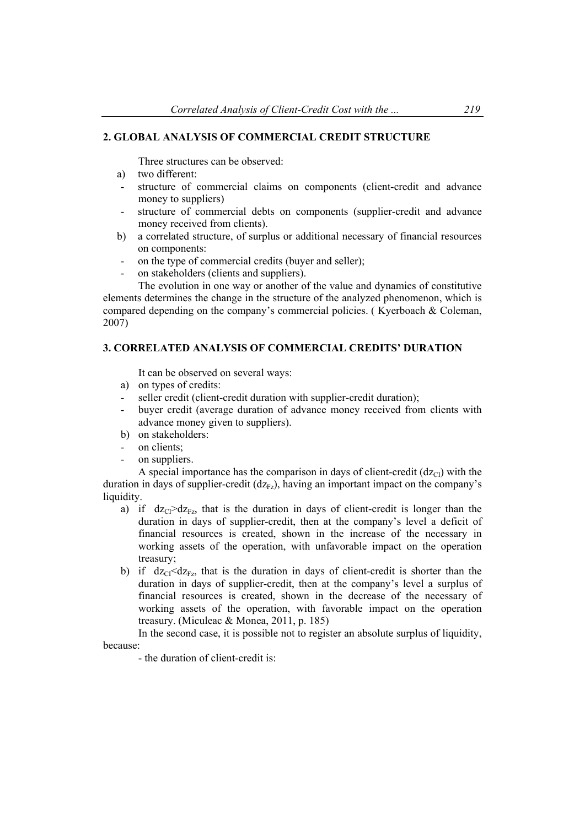# **2. GLOBAL ANALYSIS OF COMMERCIAL CREDIT STRUCTURE**

Three structures can be observed:

- a) two different:
- structure of commercial claims on components (client-credit and advance money to suppliers)
- structure of commercial debts on components (supplier-credit and advance money received from clients).
- b) a correlated structure, of surplus or additional necessary of financial resources on components:
- on the type of commercial credits (buyer and seller);
- on stakeholders (clients and suppliers).

The evolution in one way or another of the value and dynamics of constitutive elements determines the change in the structure of the analyzed phenomenon, which is compared depending on the company's commercial policies. ( Kyerboach & Coleman, 2007)

## **3. CORRELATED ANALYSIS OF COMMERCIAL CREDITS' DURATION**

It can be observed on several ways:

- a) on types of credits:
- seller credit (client-credit duration with supplier-credit duration);
- buyer credit (average duration of advance money received from clients with advance money given to suppliers).
- b) on stakeholders:
- on clients:
- on suppliers.

A special importance has the comparison in days of client-credit  $(dz_{\text{Cl}})$  with the duration in days of supplier-credit  $(dz_{Fz})$ , having an important impact on the company's liquidity.

- a) if  $dz_{C1} > dz_{Fz}$ , that is the duration in days of client-credit is longer than the duration in days of supplier-credit, then at the company's level a deficit of financial resources is created, shown in the increase of the necessary in working assets of the operation, with unfavorable impact on the operation treasury;
- b) if  $dz_C \leq dz_{Fz}$ , that is the duration in days of client-credit is shorter than the duration in days of supplier-credit, then at the company's level a surplus of financial resources is created, shown in the decrease of the necessary of working assets of the operation, with favorable impact on the operation treasury. (Miculeac & Monea, 2011, p. 185)

In the second case, it is possible not to register an absolute surplus of liquidity, because:

- the duration of client-credit is: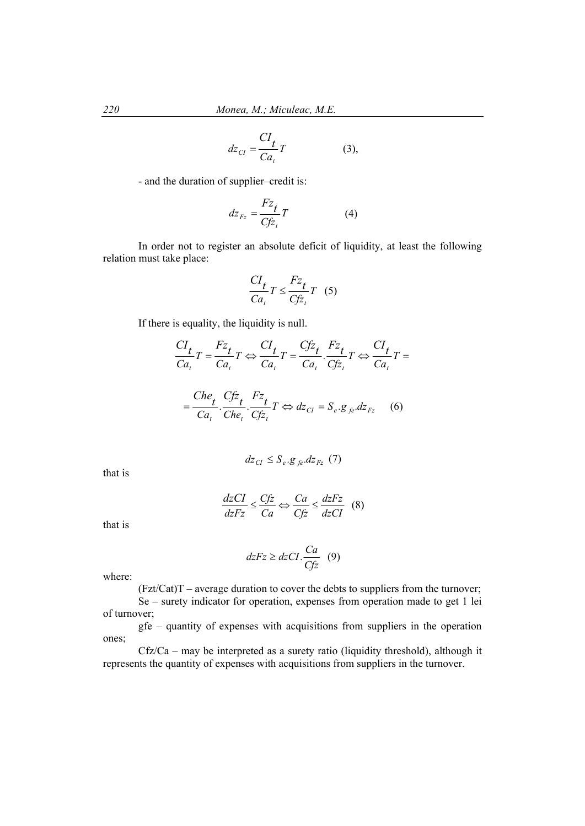$$
dz_{CI} = \frac{CI_t}{Ca_t}T
$$
 (3),

- and the duration of supplier–credit is:

$$
dz_{Fz} = \frac{Fz_t}{Cf\overline{z}_t}T\tag{4}
$$

In order not to register an absolute deficit of liquidity, at least the following relation must take place:

$$
\frac{CI_t}{Ca_t}T \le \frac{Fz_t}{Cf\overline{z}_t}T \quad (5)
$$

If there is equality, the liquidity is null.

$$
\frac{CI_t}{Ca_t}T = \frac{Fz_t}{Ca_t}T \Leftrightarrow \frac{CI_t}{Ca_t}T = \frac{Cfz_t}{Ca_t} \cdot \frac{Fz_t}{Cfz_t}T \Leftrightarrow \frac{CI_t}{Ca_t}T =
$$

$$
=\frac{Che_t}{Ca_t} \cdot \frac{Cfz_t}{Che_t} \cdot \frac{Fz_t}{Cfz_t} T \Leftrightarrow dz_{CI} = S_e \cdot g_{fe} \cdot dz_{Fz} \tag{6}
$$

$$
dz_{CI} \le S_e \cdot g_{fe} \cdot dz_{Fz} \tag{7}
$$

that is

$$
\frac{dzCI}{dzFz} \le \frac{Cfz}{Ca} \Leftrightarrow \frac{Ca}{Cfz} \le \frac{dzFz}{dzCI} \quad (8)
$$

that is

$$
dzFz \ge dzCI \cdot \frac{Ca}{Cfz} \quad (9)
$$

where:

 $(Fzt/Cat)T$  – average duration to cover the debts to suppliers from the turnover;

Se – surety indicator for operation, expenses from operation made to get 1 lei of turnover;

gfe – quantity of expenses with acquisitions from suppliers in the operation ones;

Cfz/Ca – may be interpreted as a surety ratio (liquidity threshold), although it represents the quantity of expenses with acquisitions from suppliers in the turnover.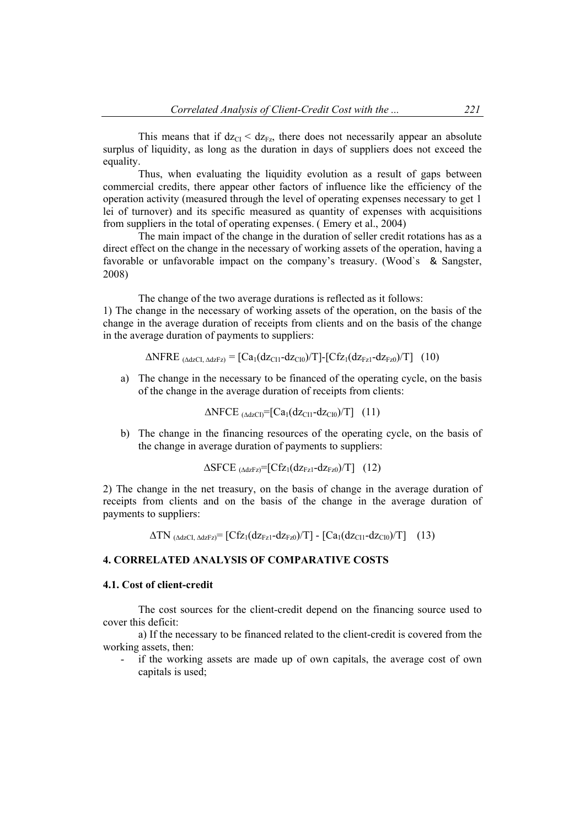This means that if  $dz_{CI} < dz_{Fz}$ , there does not necessarily appear an absolute surplus of liquidity, as long as the duration in days of suppliers does not exceed the equality.

Thus, when evaluating the liquidity evolution as a result of gaps between commercial credits, there appear other factors of influence like the efficiency of the operation activity (measured through the level of operating expenses necessary to get 1 lei of turnover) and its specific measured as quantity of expenses with acquisitions from suppliers in the total of operating expenses. ( Emery et al., 2004)

The main impact of the change in the duration of seller credit rotations has as a direct effect on the change in the necessary of working assets of the operation, having a favorable or unfavorable impact on the company's treasury. (Wood`s & Sangster, 2008)

The change of the two average durations is reflected as it follows: 1) The change in the necessary of working assets of the operation, on the basis of the change in the average duration of receipts from clients and on the basis of the change in the average duration of payments to suppliers:

 $\triangle NFRE_{(AdzCI, AdzFz)} = [Ca_1(dz_{CII} - dz_{CI0})/T] - [Cfz_1(dz_{Fz1} - dz_{Fz0})/T]$  (10)

a) The change in the necessary to be financed of the operating cycle, on the basis of the change in the average duration of receipts from clients:

$$
\Delta \text{NFCE}_{(AdzCI)} = [Ca_1(dz_{CI1} - dz_{CI0})/T] \quad (11)
$$

b) The change in the financing resources of the operating cycle, on the basis of the change in average duration of payments to suppliers:

$$
\Delta S FCE_{(AdzFz)} = [Cf_{Z1}(dz_{Fz1} - dz_{Fz0})/T] (12)
$$

2) The change in the net treasury, on the basis of change in the average duration of receipts from clients and on the basis of the change in the average duration of payments to suppliers:

$$
\Delta TN_{(AdzCI, AdzFz)} = [Cf_{Z1}(dz_{Fz1} - dz_{Fz0})/T] - [Ca_{1}(dz_{CI1} - dz_{CI0})/T] \quad (13)
$$

### **4. CORRELATED ANALYSIS OF COMPARATIVE COSTS**

### **4.1. Cost of client-credit**

The cost sources for the client-credit depend on the financing source used to cover this deficit:

a) If the necessary to be financed related to the client-credit is covered from the working assets, then:

if the working assets are made up of own capitals, the average cost of own capitals is used;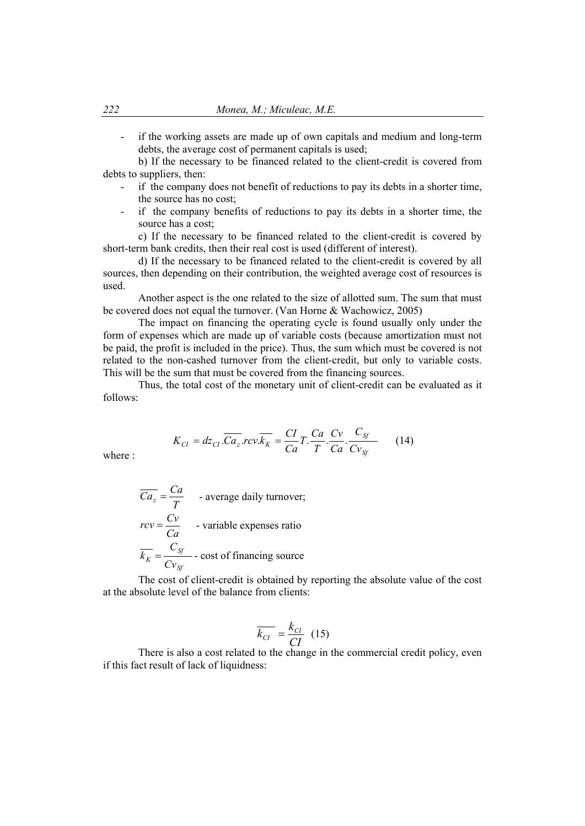- if the working assets are made up of own capitals and medium and long-term debts, the average cost of permanent capitals is used;

b) If the necessary to be financed related to the client-credit is covered from debts to suppliers, then:

- if the company does not benefit of reductions to pay its debts in a shorter time, the source has no cost;
- if the company benefits of reductions to pay its debts in a shorter time, the source has a cost;

c) If the necessary to be financed related to the client-credit is covered by short-term bank credits, then their real cost is used (different of interest).

d) If the necessary to be financed related to the client-credit is covered by all sources, then depending on their contribution, the weighted average cost of resources is used.

Another aspect is the one related to the size of allotted sum. The sum that must be covered does not equal the turnover. (Van Horne & Wachowicz, 2005)

The impact on financing the operating cycle is found usually only under the form of expenses which are made up of variable costs (because amortization must not be paid, the profit is included in the price). Thus, the sum which must be covered is not related to the non-cashed turnover from the client-credit, but only to variable costs. This will be the sum that must be covered from the financing sources.

Thus, the total cost of the monetary unit of client-credit can be evaluated as it follows:

$$
K_{CI} = dz_{CI} \cdot \overline{Ca_z}.rev \cdot \overline{k_K} = \frac{CI}{Ca}T \cdot \frac{Ca}{T} \cdot \frac{C_v}{Ca} \cdot \frac{C_{Sf}}{Cv_{Sf}} \tag{14}
$$

where :

$$
\overline{Ca_z} = \frac{Ca}{T}
$$
 - average daily turnover;  
\n
$$
rcv = \frac{Cv}{Ca}
$$
 - variable expenses ratio  
\n
$$
\overline{k_K} = \frac{C_{Sf}}{Cv_{Sf}}
$$
 - cost of financing source

The cost of client-credit is obtained by reporting the absolute value of the cost at the absolute level of the balance from clients:

$$
\overline{k_{CI}} = \frac{k_{CI}}{CI} \quad (15)
$$

 There is also a cost related to the change in the commercial credit policy, even if this fact result of lack of liquidness: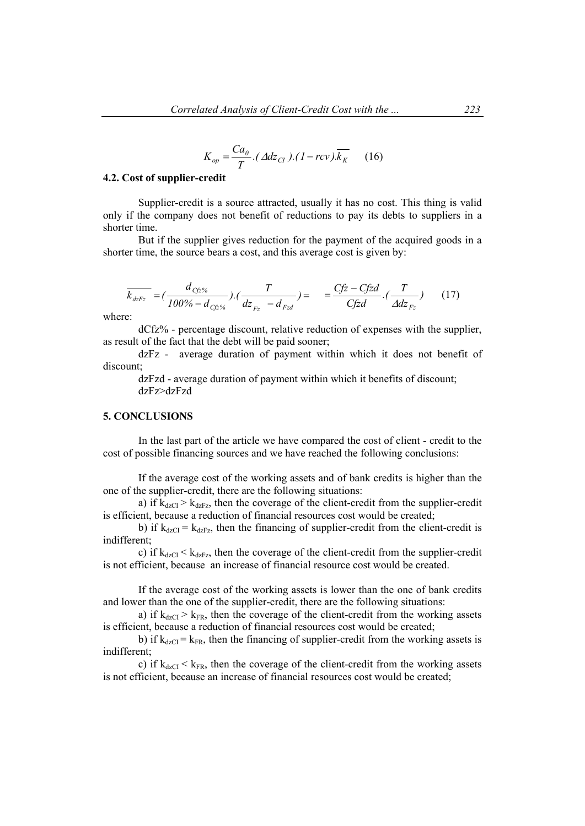$$
K_{op} = \frac{Ca_0}{T} \cdot (Adz_{CI}) \cdot (1 - rcv) \cdot \overline{k_K} \qquad (16)
$$

#### **4.2. Cost of supplier-credit**

Supplier-credit is a source attracted, usually it has no cost. This thing is valid only if the company does not benefit of reductions to pay its debts to suppliers in a shorter time.

But if the supplier gives reduction for the payment of the acquired goods in a shorter time, the source bears a cost, and this average cost is given by:

$$
\overline{k_{dzFz}} = (\frac{d_{Cfz\%}}{100\% - d_{Cfz\%}}) \cdot (\frac{T}{dz_{Fz} - d_{Fzd}}) = \frac{Cfz - Cfzd}{Cfzd} \cdot (\frac{T}{Adz_{Fz}})
$$
(17)

where:

dCfz% - percentage discount, relative reduction of expenses with the supplier, as result of the fact that the debt will be paid sooner;

dzFz - average duration of payment within which it does not benefit of discount;

dzFzd - average duration of payment within which it benefits of discount; dzFz>dzFzd

### **5. CONCLUSIONS**

In the last part of the article we have compared the cost of client - credit to the cost of possible financing sources and we have reached the following conclusions:

If the average cost of the working assets and of bank credits is higher than the one of the supplier-credit, there are the following situations:

a) if  $k_{\text{dzC1}} > k_{\text{dzEx}}$ , then the coverage of the client-credit from the supplier-credit is efficient, because a reduction of financial resources cost would be created;

b) if  $k_{dzCI} = k_{dzEx}$ , then the financing of supplier-credit from the client-credit is indifferent;

c) if  $k_{dzCI} < k_{dzFz}$ , then the coverage of the client-credit from the supplier-credit is not efficient, because an increase of financial resource cost would be created.

If the average cost of the working assets is lower than the one of bank credits and lower than the one of the supplier-credit, there are the following situations:

a) if  $k_{\text{dzCI}} > k_{\text{FR}}$ , then the coverage of the client-credit from the working assets is efficient, because a reduction of financial resources cost would be created;

b) if  $k_{\text{dzCI}} = k_{\text{FR}}$ , then the financing of supplier-credit from the working assets is indifferent;

c) if  $k_{dzCI} < k_{FR}$ , then the coverage of the client-credit from the working assets is not efficient, because an increase of financial resources cost would be created;